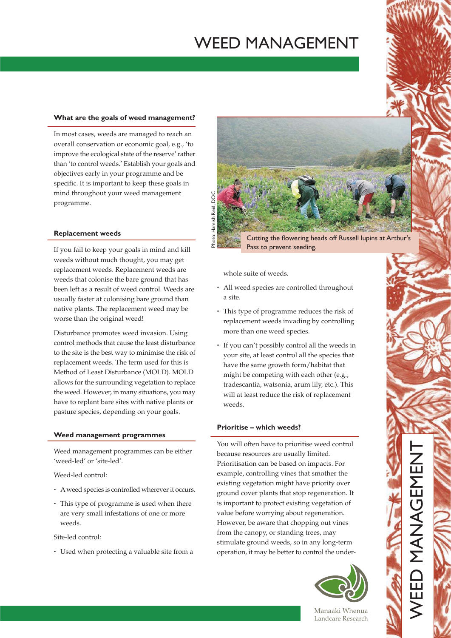# **WEED MANAGEMENT**

#### What are the goals of weed management?

In most cases, weeds are managed to reach an overall conservation or economic goal, e.g., 'to improve the ecological state of the reserve' rather than 'to control weeds.' Establish your goals and objectives early in your programme and be specific. It is important to keep these goals in mind throughout your weed management programme.

## **Replacement weeds**

If you fail to keep your goals in mind and kill weeds without much thought, you may get replacement weeds. Replacement weeds are weeds that colonise the bare ground that has been left as a result of weed control. Weeds are usually faster at colonising bare ground than native plants. The replacement weed may be worse than the original weed!

Disturbance promotes weed invasion. Using control methods that cause the least disturbance to the site is the best way to minimise the risk of replacement weeds. The term used for this is Method of Least Disturbance (MOLD). MOLD allows for the surrounding vegetation to replace the weed. However, in many situations, you may have to replant bare sites with native plants or pasture species, depending on your goals.

## Weed management programmes

Weed management programmes can be either 'weed-led' or 'site-led'.

Weed-led control:

- A weed species is controlled wherever it occurs.
- This type of programme is used when there are very small infestations of one or more weeds.

Site-led control:

• Used when protecting a valuable site from a



Cutting the flowering heads off Russell lupins at Arthur's Pass to prevent seeding.

whole suite of weeds.

- All weed species are controlled throughout a site.
- This type of programme reduces the risk of replacement weeds invading by controlling more than one weed species.
- If you can't possibly control all the weeds in your site, at least control all the species that have the same growth form/habitat that might be competing with each other (e.g., tradescantia, watsonia, arum lily, etc.). This will at least reduce the risk of replacement weeds.

## Prioritise - which weeds?

You will often have to prioritise weed control because resources are usually limited. Prioritisation can be based on impacts. For example, controlling vines that smother the existing vegetation might have priority over ground cover plants that stop regeneration. It is important to protect existing vegetation of value before worrying about regeneration. However, be aware that chopping out vines from the canopy, or standing trees, may stimulate ground weeds, so in any long-term operation, it may be better to control the under-



EED MANGEMENT

Manaaki Whenua Landcare Research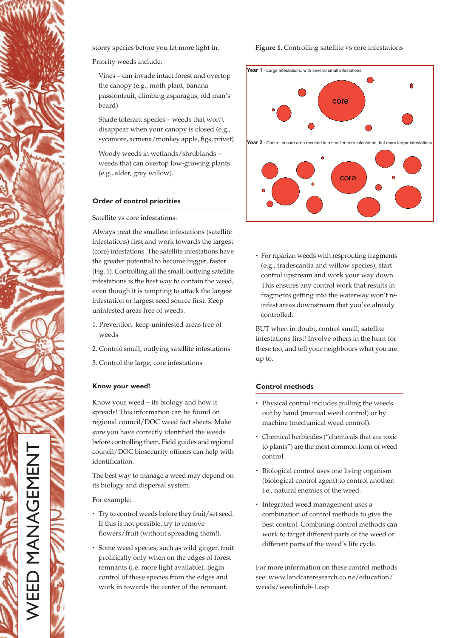storey species before you let more light in.

Priority weeds include:

Vines - can invade intact forest and overtop the canopy (e.g., moth plant, banana passionfruit, climbing asparagus, old man's beard)

Shade tolerant species - weeds that won't disappear when your canopy is closed (e.g., sycamore, acmena/monkey apple, figs, privet)

Woody weeds in wetlands/shrublandsweeds that can overtop low-growing plants (e.g., alder, grey willow).

# **Order of control priorities**

Satellite vs core infestations:

Always treat the smallest infestations (satellite infestations) first and work towards the largest (core) infestations. The satellite infestations have the greater potential to become bigger, faster (Fig. 1). Controlling all the small, outlying satellite infestations is the best way to contain the weed, even though it is tempting to attack the largest infestation or largest seed source first. Keep uninfested areas free of weeds.

- 1. Prevention: keep uninfested areas free of weeds
- 2. Control small, outlying satellite infestations
- 3. Control the large, core infestations

### Know your weed!

Know your weed - its biology and how it spreads! This information can be found on regional council/DOC weed fact sheets. Make sure you have correctly identified the weeds before controlling them. Field guides and regional council/DOC biosecurity officers can help with identification.

The best way to manage a weed may depend on its biology and dispersal system.

For example:

- Try to control weeds before they fruit/set seed. If this is not possible, try to remove flowers/fruit (without spreading them!).
- · Some weed species, such as wild ginger, fruit prolifically only when on the edges of forest remnants (i.e. more light available). Begin control of these species from the edges and work in towards the center of the remnant.





• For riparian weeds with resprouting fragments (e.g., tradescantia and willow species), start control upstream and work your way down. This ensures any control work that results in fragments getting into the waterway won't reinfest areas downstream that you've already controlled.

BUT when in doubt, control small, satellite infestations first! Involve others in the hunt for these too, and tell your neighbours what you are up to.

# **Control methods**

- Physical control includes pulling the weeds out by hand (manual weed control) or by machine (mechanical weed control).
- Chemical herbicides ("chemicals that are toxic to plants") are the most common form of weed control.
- · Biological control uses one living organism (biological control agent) to control another: i.e., natural enemies of the weed.
- Integrated weed management uses a combination of control methods to give the best control. Combining control methods can work to target different parts of the weed or different parts of the weed's life cycle.

For more information on these control methods see: www.landcareresearch.co.nz/education/ weeds/weedinfob-1.asp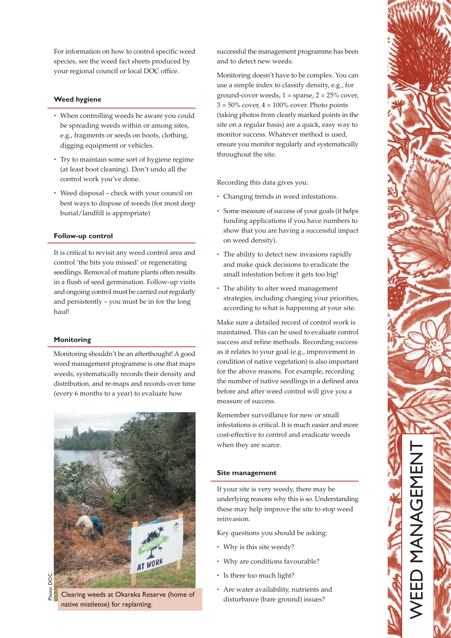For information on how to control specific weed species, see the weed fact sheets produced by your regional council or local DOC office.

## **Weed hygiene**

- When controlling weeds be aware you could be spreading weeds within or among sites, e.g., fragments or seeds on boots, clothing, digging equipment or vehicles.
- Try to maintain some sort of hygiene regime (at least boot cleaning). Don't undo all the control work you've done.
- Weed disposal check with your council on best ways to dispose of weeds (for most deep burial/landfill is appropriate)

### Follow-up control

It is critical to revisit any weed control area and control 'the bits you missed' or regenerating seedlings. Removal of mature plants often results in a flush of seed germination. Follow-up visits and ongoing control must be carried out regularly and persistently - you must be in for the long haul!

### **Monitoring**

Monitoring shouldn't be an afterthought! A good weed management programme is one that maps weeds, systematically records their density and distribution, and re-maps and records over time (every 6 months to a year) to evaluate how



Clearing weeds at Okareka Reserve (home of native mistletoe) for replanting.

successful the management programme has been and to detect new weeds.

Monitoring doesn't have to be complex. You can use a simple index to classify density, e.g., for ground-cover weeds,  $1 =$  sparse,  $2 = 25\%$  cover,  $3 = 50\%$  cover,  $4 = 100\%$  cover. Photo points (taking photos from clearly marked points in the site on a regular basis) are a quick, easy way to monitor success. Whatever method is used, ensure you monitor regularly and systematically throughout the site.

Recording this data gives you:

- Changing trends in weed infestations.
- Some measure of success of your goals (it helps funding applications if you have numbers to show that you are having a successful impact on weed density).
- The ability to detect new invasions rapidly and make quick decisions to eradicate the small infestation before it gets too big!
- The ability to alter weed management strategies, including changing your priorities, according to what is happening at your site.

Make sure a detailed record of control work is maintained. This can be used to evaluate control success and refine methods. Recording success as it relates to your goal (e.g., improvement in condition of native vegetation) is also important for the above reasons. For example, recording the number of native seedlings in a defined area before and after weed control will give you a measure of success.

Remember surveillance for new or small infestations is critical. It is much easier and more cost-effective to control and eradicate weeds when they are scarce.

### Site management

If your site is very weedy, there may be underlying reasons why this is so. Understanding these may help improve the site to stop weed reinvasion.

Key questions you should be asking:

- Why is this site weedy?
- Why are conditions favourable?
- · Is there too much light?
- Are water availability, nutrients and disturbance (bare ground) issues?